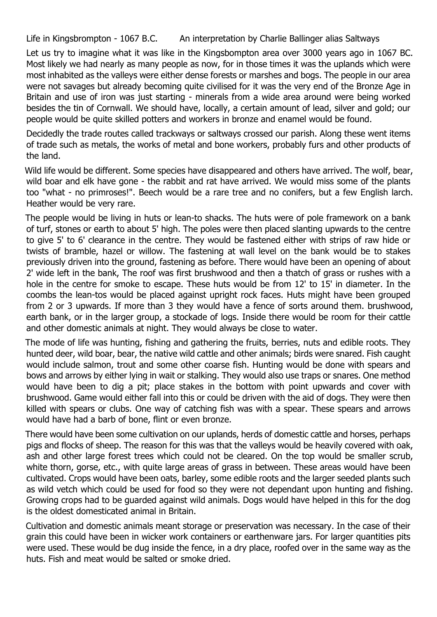Life in Kingsbrompton - 1067 B.C. An interpretation by Charlie Ballinger alias Saltways

Let us try to imagine what it was like in the Kingsbompton area over 3000 years ago in 1067 BC. Most likely we had nearly as many people as now, for in those times it was the uplands which were most inhabited as the valleys were either dense forests or marshes and bogs. The people in our area were not savages but already becoming quite civilised for it was the very end of the Bronze Age in Britain and use of iron was just starting - minerals from a wide area around were being worked besides the tin of Cornwall. We should have, locally, a certain amount of lead, silver and gold; our people would be quite skilled potters and workers in bronze and enamel would be found.

Decidedly the trade routes called trackways or saltways crossed our parish. Along these went items of trade such as metals, the works of metal and bone workers, probably furs and other products of the land.

Wild life would be different. Some species have disappeared and others have arrived. The wolf, bear, wild boar and elk have gone - the rabbit and rat have arrived. We would miss some of the plants too "what - no primroses!". Beech would be a rare tree and no conifers, but a few English larch. Heather would be very rare.

The people would be living in huts or lean-to shacks. The huts were of pole framework on a bank of turf, stones or earth to about 5' high. The poles were then placed slanting upwards to the centre to give 5' to 6' clearance in the centre. They would be fastened either with strips of raw hide or twists of bramble, hazel or willow. The fastening at wall level on the bank would be to stakes previously driven into the ground, fastening as before. There would have been an opening of about 2' wide left in the bank, The roof was first brushwood and then a thatch of grass or rushes with a hole in the centre for smoke to escape. These huts would be from 12' to 15' in diameter. In the coombs the lean-tos would be placed against upright rock faces. Huts might have been grouped from 2 or 3 upwards. If more than 3 they would have a fence of sorts around them. brushwood, earth bank, or in the larger group, a stockade of logs. Inside there would be room for their cattle and other domestic animals at night. They would always be close to water.

The mode of life was hunting, fishing and gathering the fruits, berries, nuts and edible roots. They hunted deer, wild boar, bear, the native wild cattle and other animals; birds were snared. Fish caught would include salmon, trout and some other coarse fish. Hunting would be done with spears and bows and arrows by either lying in wait or stalking. They would also use traps or snares. One method would have been to dig a pit; place stakes in the bottom with point upwards and cover with brushwood. Game would either fall into this or could be driven with the aid of dogs. They were then killed with spears or clubs. One way of catching fish was with a spear. These spears and arrows would have had a barb of bone, flint or even bronze.

There would have been some cultivation on our uplands, herds of domestic cattle and horses, perhaps pigs and flocks of sheep. The reason for this was that the valleys would be heavily covered with oak, ash and other large forest trees which could not be cleared. On the top would be smaller scrub, white thorn, gorse, etc., with quite large areas of grass in between. These areas would have been cultivated. Crops would have been oats, barley, some edible roots and the larger seeded plants such as wild vetch which could be used for food so they were not dependant upon hunting and fishing. Growing crops had to be guarded against wild animals. Dogs would have helped in this for the dog is the oldest domesticated animal in Britain.

Cultivation and domestic animals meant storage or preservation was necessary. In the case of their grain this could have been in wicker work containers or earthenware jars. For larger quantities pits were used. These would be dug inside the fence, in a dry place, roofed over in the same way as the huts. Fish and meat would be salted or smoke dried.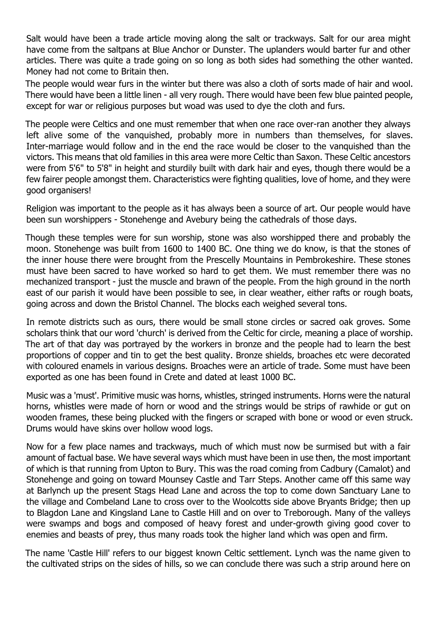Salt would have been a trade article moving along the salt or trackways. Salt for our area might have come from the saltpans at Blue Anchor or Dunster. The uplanders would barter fur and other articles. There was quite a trade going on so long as both sides had something the other wanted. Money had not come to Britain then.

The people would wear furs in the winter but there was also a cloth of sorts made of hair and wool. There would have been a little linen - all very rough. There would have been few blue painted people, except for war or religious purposes but woad was used to dye the cloth and furs.

The people were Celtics and one must remember that when one race over-ran another they always left alive some of the vanquished, probably more in numbers than themselves, for slaves. Inter-marriage would follow and in the end the race would be closer to the vanquished than the victors. This means that old families in this area were more Celtic than Saxon. These Celtic ancestors were from 5'6" to 5'8" in height and sturdily built with dark hair and eyes, though there would be a few fairer people amongst them. Characteristics were fighting qualities, love of home, and they were good organisers!

Religion was important to the people as it has always been a source of art. Our people would have been sun worshippers - Stonehenge and Avebury being the cathedrals of those days.

Though these temples were for sun worship, stone was also worshipped there and probably the moon. Stonehenge was built from 1600 to 1400 BC. One thing we do know, is that the stones of the inner house there were brought from the Prescelly Mountains in Pembrokeshire. These stones must have been sacred to have worked so hard to get them. We must remember there was no mechanized transport - just the muscle and brawn of the people. From the high ground in the north east of our parish it would have been possible to see, in clear weather, either rafts or rough boats, going across and down the Bristol Channel. The blocks each weighed several tons.

In remote districts such as ours, there would be small stone circles or sacred oak groves. Some scholars think that our word 'church' is derived from the Celtic for circle, meaning a place of worship. The art of that day was portrayed by the workers in bronze and the people had to learn the best proportions of copper and tin to get the best quality. Bronze shields, broaches etc were decorated with coloured enamels in various designs. Broaches were an article of trade. Some must have been exported as one has been found in Crete and dated at least 1000 BC.

Music was a 'must'. Primitive music was horns, whistles, stringed instruments. Horns were the natural horns, whistles were made of horn or wood and the strings would be strips of rawhide or gut on wooden frames, these being plucked with the fingers or scraped with bone or wood or even struck. Drums would have skins over hollow wood logs.

Now for a few place names and trackways, much of which must now be surmised but with a fair amount of factual base. We have several ways which must have been in use then, the most important of which is that running from Upton to Bury. This was the road coming from Cadbury (Camalot) and Stonehenge and going on toward Mounsey Castle and Tarr Steps. Another came off this same way at Barlynch up the present Stags Head Lane and across the top to come down Sanctuary Lane to the village and Combeland Lane to cross over to the Woolcotts side above Bryants Bridge; then up to Blagdon Lane and Kingsland Lane to Castle Hill and on over to Treborough. Many of the valleys were swamps and bogs and composed of heavy forest and under-growth giving good cover to enemies and beasts of prey, thus many roads took the higher land which was open and firm.

The name 'Castle Hill' refers to our biggest known Celtic settlement. Lynch was the name given to the cultivated strips on the sides of hills, so we can conclude there was such a strip around here on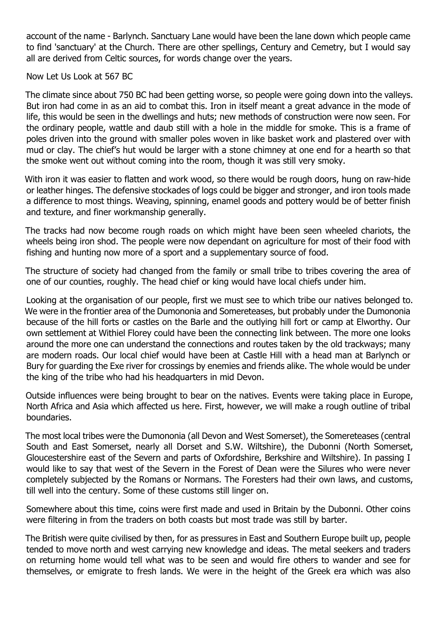account of the name - Barlynch. Sanctuary Lane would have been the lane down which people came to find 'sanctuary' at the Church. There are other spellings, Century and Cemetry, but I would say all are derived from Celtic sources, for words change over the years.

Now Let Us Look at 567 BC

The climate since about 750 BC had been getting worse, so people were going down into the valleys. But iron had come in as an aid to combat this. Iron in itself meant a great advance in the mode of life, this would be seen in the dwellings and huts; new methods of construction were now seen. For the ordinary people, wattle and daub still with a hole in the middle for smoke. This is a frame of poles driven into the ground with smaller poles woven in like basket work and plastered over with mud or clay. The chief's hut would be larger with a stone chimney at one end for a hearth so that the smoke went out without coming into the room, though it was still very smoky.

With iron it was easier to flatten and work wood, so there would be rough doors, hung on raw-hide or leather hinges. The defensive stockades of logs could be bigger and stronger, and iron tools made a difference to most things. Weaving, spinning, enamel goods and pottery would be of better finish and texture, and finer workmanship generally.

The tracks had now become rough roads on which might have been seen wheeled chariots, the wheels being iron shod. The people were now dependant on agriculture for most of their food with fishing and hunting now more of a sport and a supplementary source of food.

The structure of society had changed from the family or small tribe to tribes covering the area of one of our counties, roughly. The head chief or king would have local chiefs under him.

Looking at the organisation of our people, first we must see to which tribe our natives belonged to. We were in the frontier area of the Dumononia and Somereteases, but probably under the Dumononia because of the hill forts or castles on the Barle and the outlying hill fort or camp at Elworthy. Our own settlement at Withiel Florey could have been the connecting link between. The more one looks around the more one can understand the connections and routes taken by the old trackways; many are modern roads. Our local chief would have been at Castle Hill with a head man at Barlynch or Bury for guarding the Exe river for crossings by enemies and friends alike. The whole would be under the king of the tribe who had his headquarters in mid Devon.

Outside influences were being brought to bear on the natives. Events were taking place in Europe, North Africa and Asia which affected us here. First, however, we will make a rough outline of tribal boundaries.

The most local tribes were the Dumononia (all Devon and West Somerset), the Somereteases (central South and East Somerset, nearly all Dorset and S.W. Wiltshire), the Dubonni (North Somerset, Gloucestershire east of the Severn and parts of Oxfordshire, Berkshire and Wiltshire). In passing I would like to say that west of the Severn in the Forest of Dean were the Silures who were never completely subjected by the Romans or Normans. The Foresters had their own laws, and customs, till well into the century. Some of these customs still linger on.

Somewhere about this time, coins were first made and used in Britain by the Dubonni. Other coins were filtering in from the traders on both coasts but most trade was still by barter.

The British were quite civilised by then, for as pressures in East and Southern Europe built up, people tended to move north and west carrying new knowledge and ideas. The metal seekers and traders on returning home would tell what was to be seen and would fire others to wander and see for themselves, or emigrate to fresh lands. We were in the height of the Greek era which was also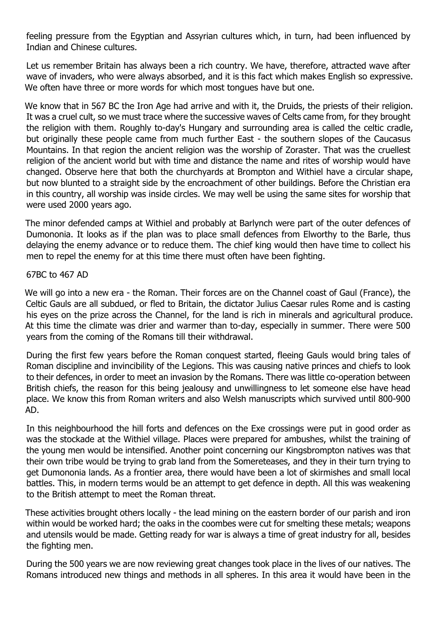feeling pressure from the Egyptian and Assyrian cultures which, in turn, had been influenced by Indian and Chinese cultures.

Let us remember Britain has always been a rich country. We have, therefore, attracted wave after wave of invaders, who were always absorbed, and it is this fact which makes English so expressive. We often have three or more words for which most tongues have but one.

We know that in 567 BC the Iron Age had arrive and with it, the Druids, the priests of their religion. It was a cruel cult, so we must trace where the successive waves of Celts came from, for they brought the religion with them. Roughly to-day's Hungary and surrounding area is called the celtic cradle, but originally these people came from much further East - the southern slopes of the Caucasus Mountains. In that region the ancient religion was the worship of Zoraster. That was the cruellest religion of the ancient world but with time and distance the name and rites of worship would have changed. Observe here that both the churchyards at Brompton and Withiel have a circular shape, but now blunted to a straight side by the encroachment of other buildings. Before the Christian era in this country, all worship was inside circles. We may well be using the same sites for worship that were used 2000 years ago.

The minor defended camps at Withiel and probably at Barlynch were part of the outer defences of Dumononia. It looks as if the plan was to place small defences from Elworthy to the Barle, thus delaying the enemy advance or to reduce them. The chief king would then have time to collect his men to repel the enemy for at this time there must often have been fighting.

## 67BC to 467 AD

We will go into a new era - the Roman. Their forces are on the Channel coast of Gaul (France), the Celtic Gauls are all subdued, or fled to Britain, the dictator Julius Caesar rules Rome and is casting his eyes on the prize across the Channel, for the land is rich in minerals and agricultural produce. At this time the climate was drier and warmer than to-day, especially in summer. There were 500 years from the coming of the Romans till their withdrawal.

During the first few years before the Roman conquest started, fleeing Gauls would bring tales of Roman discipline and invincibility of the Legions. This was causing native princes and chiefs to look to their defences, in order to meet an invasion by the Romans. There was little co-operation between British chiefs, the reason for this being jealousy and unwillingness to let someone else have head place. We know this from Roman writers and also Welsh manuscripts which survived until 800-900 AD.

In this neighbourhood the hill forts and defences on the Exe crossings were put in good order as was the stockade at the Withiel village. Places were prepared for ambushes, whilst the training of the young men would be intensified. Another point concerning our Kingsbrompton natives was that their own tribe would be trying to grab land from the Somereteases, and they in their turn trying to get Dumononia lands. As a frontier area, there would have been a lot of skirmishes and small local battles. This, in modern terms would be an attempt to get defence in depth. All this was weakening to the British attempt to meet the Roman threat.

These activities brought others locally - the lead mining on the eastern border of our parish and iron within would be worked hard; the oaks in the coombes were cut for smelting these metals; weapons and utensils would be made. Getting ready for war is always a time of great industry for all, besides the fighting men.

During the 500 years we are now reviewing great changes took place in the lives of our natives. The Romans introduced new things and methods in all spheres. In this area it would have been in the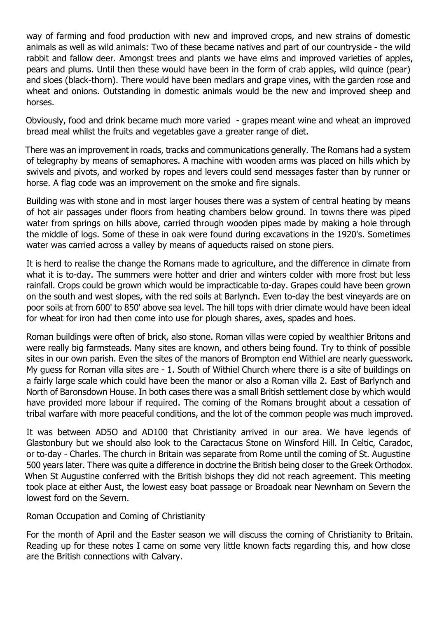way of farming and food production with new and improved crops, and new strains of domestic animals as well as wild animals: Two of these became natives and part of our countryside - the wild rabbit and fallow deer. Amongst trees and plants we have elms and improved varieties of apples, pears and plums. Until then these would have been in the form of crab apples, wild quince (pear) and sloes (black-thorn). There would have been medlars and grape vines, with the garden rose and wheat and onions. Outstanding in domestic animals would be the new and improved sheep and horses.

Obviously, food and drink became much more varied - grapes meant wine and wheat an improved bread meal whilst the fruits and vegetables gave a greater range of diet.

There was an improvement in roads, tracks and communications generally. The Romans had a system of telegraphy by means of semaphores. A machine with wooden arms was placed on hills which by swivels and pivots, and worked by ropes and levers could send messages faster than by runner or horse. A flag code was an improvement on the smoke and fire signals.

Building was with stone and in most larger houses there was a system of central heating by means of hot air passages under floors from heating chambers below ground. In towns there was piped water from springs on hills above, carried through wooden pipes made by making a hole through the middle of logs. Some of these in oak were found during excavations in the 1920's. Sometimes water was carried across a valley by means of aqueducts raised on stone piers.

It is herd to realise the change the Romans made to agriculture, and the difference in climate from what it is to-day. The summers were hotter and drier and winters colder with more frost but less rainfall. Crops could be grown which would be impracticable to-day. Grapes could have been grown on the south and west slopes, with the red soils at Barlynch. Even to-day the best vineyards are on poor soils at from 600' to 850' above sea level. The hill tops with drier climate would have been ideal for wheat for iron had then come into use for plough shares, axes, spades and hoes.

Roman buildings were often of brick, also stone. Roman villas were copied by wealthier Britons and were really big farmsteads. Many sites are known, and others being found. Try to think of possible sites in our own parish. Even the sites of the manors of Brompton end Withiel are nearly guesswork. My guess for Roman villa sites are - 1. South of Withiel Church where there is a site of buildings on a fairly large scale which could have been the manor or also a Roman villa 2. East of Barlynch and North of Baronsdown House. In both cases there was a small British settlement close by which would have provided more labour if required. The coming of the Romans brought about a cessation of tribal warfare with more peaceful conditions, and the lot of the common people was much improved.

It was between AD5O and AD100 that Christianity arrived in our area. We have legends of Glastonbury but we should also look to the Caractacus Stone on Winsford Hill. In Celtic, Caradoc, or to-day - Charles. The church in Britain was separate from Rome until the coming of St. Augustine 500 years later. There was quite a difference in doctrine the British being closer to the Greek Orthodox. When St Augustine conferred with the British bishops they did not reach agreement. This meeting took place at either Aust, the lowest easy boat passage or Broadoak near Newnham on Severn the lowest ford on the Severn.

## Roman Occupation and Coming of Christianity

For the month of April and the Easter season we will discuss the coming of Christianity to Britain. Reading up for these notes I came on some very little known facts regarding this, and how close are the British connections with Calvary.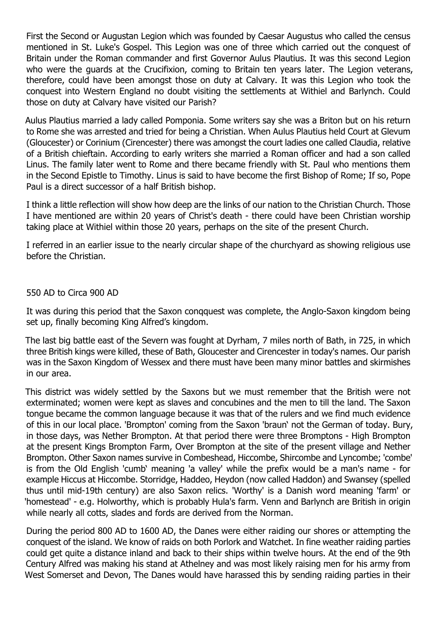First the Second or Augustan Legion which was founded by Caesar Augustus who called the census mentioned in St. Luke's Gospel. This Legion was one of three which carried out the conquest of Britain under the Roman commander and first Governor Aulus Plautius. It was this second Legion who were the guards at the Crucifixion, coming to Britain ten years later. The Legion veterans, therefore, could have been amongst those on duty at Calvary. It was this Legion who took the conquest into Western England no doubt visiting the settlements at Withiel and Barlynch. Could those on duty at Calvary have visited our Parish?

Aulus Plautius married a lady called Pomponia. Some writers say she was a Briton but on his return to Rome she was arrested and tried for being a Christian. When Aulus Plautius held Court at Glevum (Gloucester) or Corinium (Cirencester) there was amongst the court ladies one called Claudia, relative of a British chieftain. According to early writers she married a Roman officer and had a son called Linus. The family later went to Rome and there became friendly with St. Paul who mentions them in the Second Epistle to Timothy. Linus is said to have become the first Bishop of Rome; If so, Pope Paul is a direct successor of a half British bishop.

I think a little reflection will show how deep are the links of our nation to the Christian Church. Those I have mentioned are within 20 years of Christ's death - there could have been Christian worship taking place at Withiel within those 20 years, perhaps on the site of the present Church.

I referred in an earlier issue to the nearly circular shape of the churchyard as showing religious use before the Christian.

## 550 AD to Circa 900 AD

It was during this period that the Saxon conqquest was complete, the Anglo-Saxon kingdom being set up, finally becoming King Alfred's kingdom.

The last big battle east of the Severn was fought at Dyrham, 7 miles north of Bath, in 725, in which three British kings were killed, these of Bath, Gloucester and Cirencester in today's names. Our parish was in the Saxon Kingdom of Wessex and there must have been many minor battles and skirmishes in our area.

This district was widely settled by the Saxons but we must remember that the British were not exterminated; women were kept as slaves and concubines and the men to till the land. The Saxon tongue became the common language because it was that of the rulers and we find much evidence of this in our local place. 'Brompton' coming from the Saxon 'braun' not the German of today. Bury, in those days, was Nether Brompton. At that period there were three Bromptons - High Brompton at the present Kings Brompton Farm, Over Brompton at the site of the present village and Nether Brompton. Other Saxon names survive in Combeshead, Hiccombe, Shircombe and Lyncombe; 'combe' is from the Old English 'cumb' meaning 'a valley' while the prefix would be a man's name - for example Hiccus at Hiccombe. Storridge, Haddeo, Heydon (now called Haddon) and Swansey (spelled thus until mid-19th century) are also Saxon relics. 'Worthy' is a Danish word meaning 'farm' or 'homestead' - e.g. Holworthy, which is probably Hula's farm. Venn and Barlynch are British in origin while nearly all cotts, slades and fords are derived from the Norman.

During the period 800 AD to 1600 AD, the Danes were either raiding our shores or attempting the conquest of the island. We know of raids on both Porlork and Watchet. In fine weather raiding parties could get quite a distance inland and back to their ships within twelve hours. At the end of the 9th Century Alfred was making his stand at Athelney and was most likely raising men for his army from West Somerset and Devon, The Danes would have harassed this by sending raiding parties in their